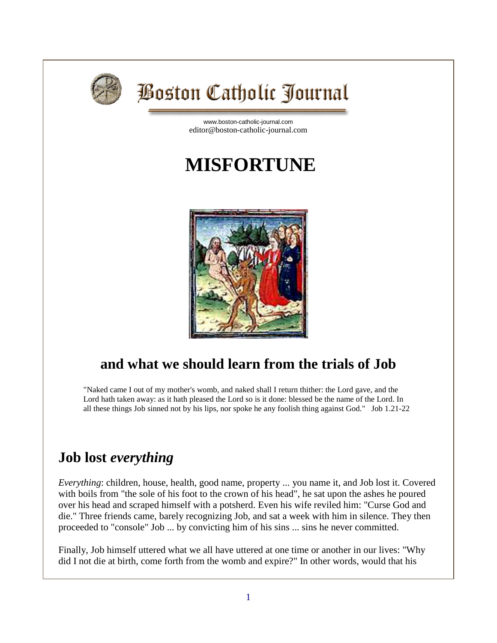

# **Boston Catholic Journal**

[www.boston-catholic-journal.com](http://www.boston-catholic-journal.com/) editor@boston-catholic-journal.com

# **MISFORTUNE**



## **and what we should learn from the trials of Job**

"Naked came I out of my mother's womb, and naked shall I return thither: the Lord gave, and the Lord hath taken away: as it hath pleased the Lord so is it done: blessed be the name of the Lord. In all these things Job sinned not by his lips, nor spoke he any foolish thing against God." Job 1.21-22

## **Job lost** *everything*

*Everything*: children, house, health, good name, property ... you name it, and Job lost it. Covered with boils from "the sole of his foot to the crown of his head", he sat upon the ashes he poured over his head and scraped himself with a potsherd. Even his wife reviled him: "Curse God and die." Three friends came, barely recognizing Job, and sat a week with him in silence. They then proceeded to "console" Job ... by convicting him of his sins ... sins he never committed.

Finally, Job himself uttered what we all have uttered at one time or another in our lives: "Why did I not die at birth, come forth from the womb and expire?" In other words, would that his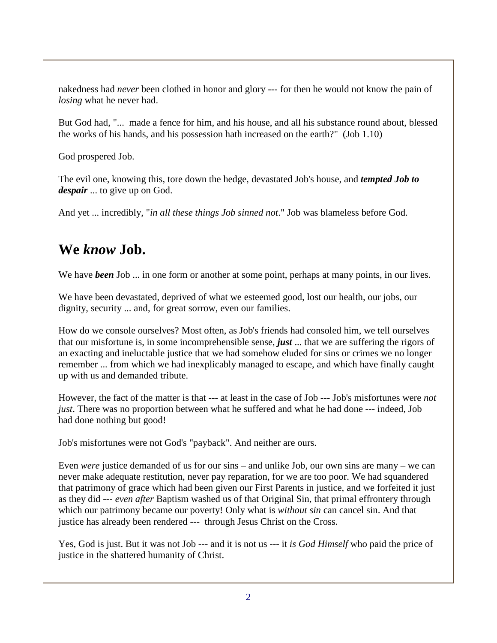nakedness had *never* been clothed in honor and glory --- for then he would not know the pain of *losing* what he never had.

But God had, "... made a fence for him, and his house, and all his substance round about, blessed the works of his hands, and his possession hath increased on the earth?" (Job 1.10)

God prospered Job.

The evil one, knowing this, tore down the hedge, devastated Job's house, and *tempted Job to despair* ... to give up on God.

And yet ... incredibly, "*in all these things Job sinned not*." Job was blameless before God.

## **We** *know* **Job.**

We have *been* Job ... in one form or another at some point, perhaps at many points, in our lives.

We have been devastated, deprived of what we esteemed good, lost our health, our jobs, our dignity, security ... and, for great sorrow, even our families.

How do we console ourselves? Most often, as Job's friends had consoled him, we tell ourselves that our misfortune is, in some incomprehensible sense, *just* ... that we are suffering the rigors of an exacting and ineluctable justice that we had somehow eluded for sins or crimes we no longer remember ... from which we had inexplicably managed to escape, and which have finally caught up with us and demanded tribute.

However, the fact of the matter is that --- at least in the case of Job --- Job's misfortunes were *not just*. There was no proportion between what he suffered and what he had done --- indeed, Job had done nothing but good!

Job's misfortunes were not God's "payback". And neither are ours.

Even *were* justice demanded of us for our sins – and unlike Job, our own sins are many – we can never make adequate restitution, never pay reparation, for we are too poor. We had squandered that patrimony of grace which had been given our First Parents in justice, and we forfeited it just as they did --- *even after* Baptism washed us of that Original Sin, that primal effrontery through which our patrimony became our poverty! Only what is *without sin* can cancel sin. And that justice has already been rendered --- through Jesus Christ on the Cross.

Yes, God is just. But it was not Job --- and it is not us --- it *is God Himself* who paid the price of justice in the shattered humanity of Christ.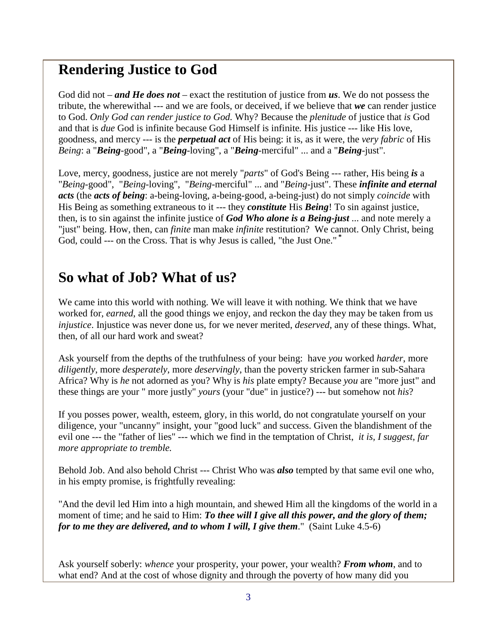#### **Rendering Justice to God**

God did not – *and He does not* – exact the restitution of justice from *us*. We do not possess the tribute, the wherewithal --- and we are fools, or deceived, if we believe that *we* can render justice to God. *Only God can render justice to God.* Why? Because the *plenitude* of justice that *is* God and that is *due* God is infinite because God Himself is infinite*.* His justice --- like His love, goodness, and mercy --- is the *perpetual act* of His being: it is, as it were, the *very fabric* of His *Being*: a "*Being*-good", a "*Being*-loving", a "*Being*-merciful" ... and a "*Being*-just".

Love, mercy, goodness, justice are not merely "*parts*" of God's Being --- rather, His being *is* a "*Being*-good", "*Being*-loving", "*Being*-merciful" ... and "*Being*-just". These *infinite and eternal acts* (the *acts of being*: a-being-loving, a-being-good, a-being-just) do not simply *coincide* with His Being as something extraneous to it --- they *constitute* His *Being*! To sin against justice, then, is to sin against the infinite justice of *God Who alone is a Being-just* ... and note merely a "just" being. How, then, can *finite* man make *infinite* restitution? We cannot. Only Christ, being God, could --- on the Cross. That is why Jesus is called, "the Just One." **\***

#### **So what of Job? What of us?**

We came into this world with nothing. We will leave it with nothing. We think that we have worked for, *earned*, all the good things we enjoy, and reckon the day they may be taken from us *injustice*. Injustice was never done us, for we never merited, *deserved*, any of these things. What, then, of all our hard work and sweat?

Ask yourself from the depths of the truthfulness of your being: have *you* worked *harder*, more *diligently*, more *desperately*, more *deservingly*, than the poverty stricken farmer in sub-Sahara Africa? Why is *he* not adorned as you? Why is *his* plate empty? Because *you* are "more just" and these things are your " more justly" *yours* (your "due" in justice?) --- but somehow not *his*?

If you posses power, wealth, esteem, glory, in this world, do not congratulate yourself on your diligence, your "uncanny" insight, your "good luck" and success. Given the blandishment of the evil one --- the "father of lies" --- which we find in the temptation of Christ, *it is, I suggest, far more appropriate to tremble.*

Behold Job. And also behold Christ --- Christ Who was *also* tempted by that same evil one who, in his empty promise, is frightfully revealing:

"And the devil led Him into a high mountain, and shewed Him all the kingdoms of the world in a moment of time; and he said to Him: *To thee will I give all this power, and the glory of them; for to me they are delivered, and to whom I will, I give them*." (Saint Luke 4.5-6)

Ask yourself soberly: *whence* your prosperity, your power, your wealth? *From whom*, and to what end? And at the cost of whose dignity and through the poverty of how many did you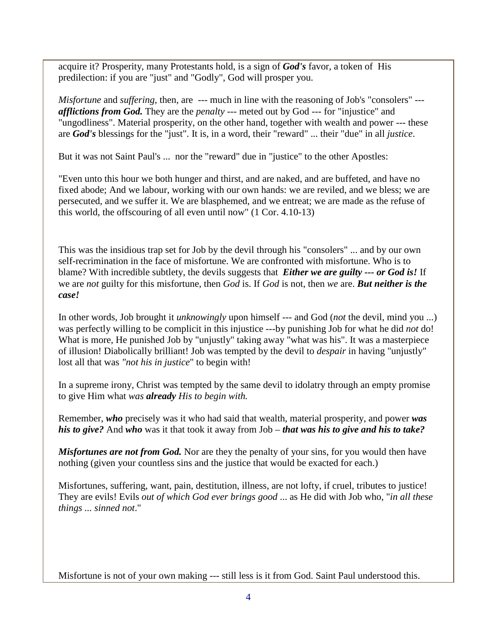acquire it? Prosperity, many Protestants hold, is a sign of *God's* favor, a token of His predilection: if you are "just" and "Godly", God will prosper you.

*Misfortune* and *suffering*, then, are --- much in line with the reasoning of Job's "consolers" --*afflictions from God.* They are the *penalty* --- meted out by God --- for "injustice" and "ungodliness". Material prosperity, on the other hand, together with wealth and power --- these are *God's* blessings for the "just". It is, in a word, their "reward" ... their "due" in all *justice*.

But it was not Saint Paul's ... nor the "reward" due in "justice" to the other Apostles:

"Even unto this hour we both hunger and thirst, and are naked, and are buffeted, and have no fixed abode; And we labour, working with our own hands: we are reviled, and we bless; we are persecuted, and we suffer it. We are blasphemed, and we entreat; we are made as the refuse of this world, the offscouring of all even until now" (1 Cor. 4.10-13)

This was the insidious trap set for Job by the devil through his "consolers" ... and by our own self-recrimination in the face of misfortune. We are confronted with misfortune. Who is to blame? With incredible subtlety, the devils suggests that *Either we are guilty --- or God is!* If we are *not* guilty for this misfortune, then *God* is. If *God* is not, then *we* are. *But neither is the case!*

In other words, Job brought it *unknowingly* upon himself --- and God (*not* the devil, mind you ...) was perfectly willing to be complicit in this injustice ---by punishing Job for what he did *not* do! What is more, He punished Job by "unjustly" taking away "what was his". It was a masterpiece of illusion! Diabolically brilliant! Job was tempted by the devil to *despair* in having "unjustly" lost all that was *"not his in justice*" to begin with!

In a supreme irony, Christ was tempted by the same devil to idolatry through an empty promise to give Him what *was already His to begin with.*

Remember, *who* precisely was it who had said that wealth, material prosperity, and power *was his to give?* And *who* was it that took it away from Job – *that was his to give and his to take?* 

*Misfortunes are not from God.* Nor are they the penalty of your sins, for you would then have nothing (given your countless sins and the justice that would be exacted for each.)

Misfortunes, suffering, want, pain, destitution, illness, are not lofty, if cruel, tributes to justice! They are evils! Evils *out of which God ever brings good* ... as He did with Job who, "*in all these things ... sinned not*."

Misfortune is not of your own making --- still less is it from God. Saint Paul understood this.